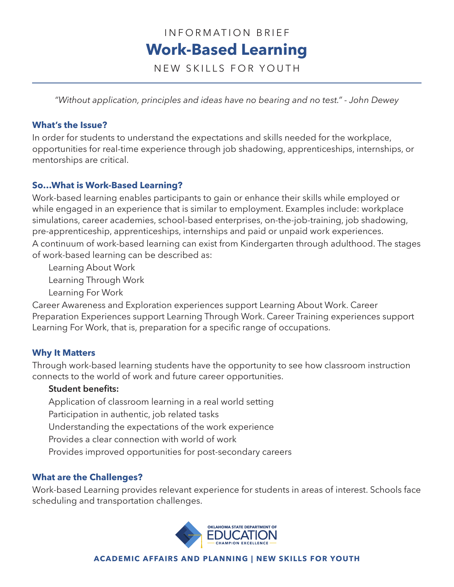# INFORMATION BRIEF **Work-Based Learning**

N F W S K II L S F O R Y O U T H

*"Without application, principles and ideas have no bearing and no test." - John Dewey*

#### **What's the Issue?**

In order for students to understand the expectations and skills needed for the workplace, opportunities for real-time experience through job shadowing, apprenticeships, internships, or mentorships are critical.

## **So…What is Work-Based Learning?**

Work-based learning enables participants to gain or enhance their skills while employed or while engaged in an experience that is similar to employment. Examples include: workplace simulations, career academies, school-based enterprises, on-the-job-training, job shadowing, pre-apprenticeship, apprenticeships, internships and paid or unpaid work experiences. A continuum of work-based learning can exist from Kindergarten through adulthood. The stages

of work-based learning can be described as:

Learning About Work

Learning Through Work

Learning For Work

Career Awareness and Exploration experiences support Learning About Work. Career Preparation Experiences support Learning Through Work. Career Training experiences support Learning For Work, that is, preparation for a specific range of occupations.

#### **Why It Matters**

Through work-based learning students have the opportunity to see how classroom instruction connects to the world of work and future career opportunities.

#### **Student benefits:**

Application of classroom learning in a real world setting

Participation in authentic, job related tasks

Understanding the expectations of the work experience

Provides a clear connection with world of work

Provides improved opportunities for post-secondary careers

#### **What are the Challenges?**

Work-based Learning provides relevant experience for students in areas of interest. Schools face scheduling and transportation challenges.



#### **ACADEMIC AFFAIRS AND PLANNING | NEW SKILLS FOR YOUTH**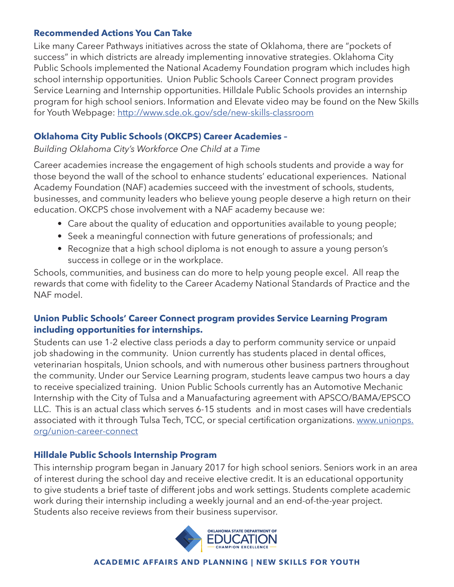#### **Recommended Actions You Can Take**

Like many Career Pathways initiatives across the state of Oklahoma, there are "pockets of success" in which districts are already implementing innovative strategies. Oklahoma City Public Schools implemented the National Academy Foundation program which includes high school internship opportunities. Union Public Schools Career Connect program provides Service Learning and Internship opportunities. Hilldale Public Schools provides an internship program for high school seniors. Information and Elevate video may be found on the New Skills for Youth Webpage: http://www.sde.ok.gov/sde/new-skills-classroom

#### **Oklahoma City Public Schools (OKCPS) Career Academies –**

*Building Oklahoma City's Workforce One Child at a Time*

Career academies increase the engagement of high schools students and provide a way for those beyond the wall of the school to enhance students' educational experiences. National Academy Foundation (NAF) academies succeed with the investment of schools, students, businesses, and community leaders who believe young people deserve a high return on their education. OKCPS chose involvement with a NAF academy because we:

- Care about the quality of education and opportunities available to young people;
- Seek a meaningful connection with future generations of professionals; and
- Recognize that a high school diploma is not enough to assure a young person's success in college or in the workplace.

Schools, communities, and business can do more to help young people excel. All reap the rewards that come with fidelity to the Career Academy National Standards of Practice and the NAF model.

#### **Union Public Schools' Career Connect program provides Service Learning Program including opportunities for internships.**

Students can use 1-2 elective class periods a day to perform community service or unpaid job shadowing in the community. Union currently has students placed in dental offices, veterinarian hospitals, Union schools, and with numerous other business partners throughout the community. Under our Service Learning program, students leave campus two hours a day to receive specialized training. Union Public Schools currently has an Automotive Mechanic Internship with the City of Tulsa and a Manuafacturing agreement with APSCO/BAMA/EPSCO LLC. This is an actual class which serves 6-15 students and in most cases will have credentials associated with it through Tulsa Tech, TCC, or special certification organizations. www.unionps. org/union-career-connect

#### **Hilldale Public Schools Internship Program**

This internship program began in January 2017 for high school seniors. Seniors work in an area of interest during the school day and receive elective credit. It is an educational opportunity to give students a brief taste of different jobs and work settings. Students complete academic work during their internship including a weekly journal and an end-of-the-year project. Students also receive reviews from their business supervisor.



**ACADEMIC AFFAIRS AND PLANNING | NEW SKILLS FOR YOUTH**